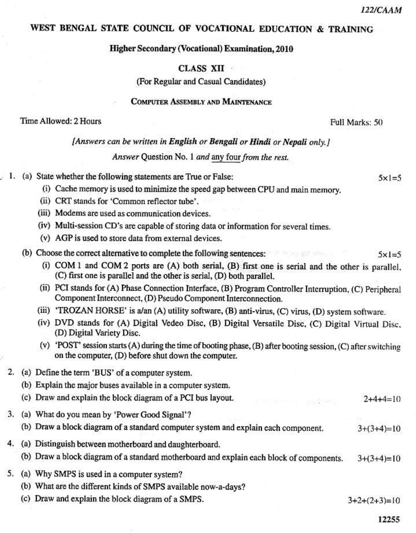$5 \times 1 = 5$ 

# WEST BENGAL STATE COUNCIL OF VOCATIONAL EDUCATION & TRAINING

### **Higher Secondary (Vocational) Examination, 2010**

## **CLASS XII**

(For Regular and Casual Candidates)

### **COMPUTER ASSEMBLY AND MAINTENANCE**

### Time Allowed: 2 Hours

Full Marks: 50

|  |  | [Answers can be written in English or Bengali or Hindi or Nepali only.] |
|--|--|-------------------------------------------------------------------------|
|  |  |                                                                         |

Answer Question No. 1 and any four from the rest.

|  |  |  | 1. (a) State whether the following statements are True or False: |  |  |
|--|--|--|------------------------------------------------------------------|--|--|
|--|--|--|------------------------------------------------------------------|--|--|

- (i) Cache memory is used to minimize the speed gap between CPU and main memory.
- (ii) CRT stands for 'Common reflector tube'.
- (iii) Modems are used as communication devices.
- (iv) Multi-session CD's are capable of storing data or information for several times.
- (v) AGP is used to store data from external devices.
- (b) Choose the correct alternative to complete the following sentences:  $5 \times 1 = 5$ 
	- (i) COM 1 and COM 2 ports are (A) both serial, (B) first one is serial and the other is parallel, (C) first one is parallel and the other is serial, (D) both parallel.
	- (ii) PCI stands for (A) Phase Connection Interface, (B) Program Controller Interruption, (C) Peripheral Component Interconnect, (D) Pseudo Component Interconnection.
	- (iii) 'TROZAN HORSE' is a/an (A) utility software, (B) anti-virus, (C) virus, (D) system software.
	- (iv) DVD stands for (A) Digital Vedeo Disc, (B) Digital Versatile Disc, (C) Digital Virtual Disc, (D) Digital Variety Disc.
	- (v) 'POST' session starts (A) during the time of booting phase, (B) after booting session, (C) after switching on the computer, (D) before shut down the computer.
- 2. (a) Define the term 'BUS' of a computer system.
	- (b) Explain the major buses available in a computer system.
	- (c) Draw and explain the block diagram of a PCI bus layout.  $2+4+4=10$
- 3. (a) What do you mean by 'Power Good Signal'?
	- (b) Draw a block diagram of a standard computer system and explain each component.  $3+(3+4)=10$
- 4. (a) Distinguish between motherboard and daughterboard.
	- (b) Draw a block diagram of a standard motherboard and explain each block of components.  $3+(3+4)=10$
- 5. (a) Why SMPS is used in a computer system?
	- (b) What are the different kinds of SMPS available now-a-days?
	- (c) Draw and explain the block diagram of a SMPS.

 $3+2+(2+3)=10$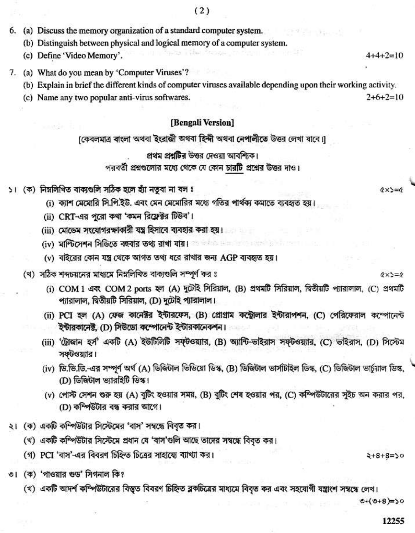- 6. (a) Discuss the memory organization of a standard computer system.
	- (b) Distinguish between physical and logical memory of a computer system.
	- (c) Define 'Video Memory'.  $4+4+7=10$
- 7. (a) What do you mean by 'Computer Viruses'?
	- (b) Explain in brief the different kinds of computer viruses available depending upon their working activity.
	- (c) Name any two popular anti-virus softwares.

### [Bengali Version]

[কেবলমাত্র বাংলা অথবা ইংরাজী অথবা হিন্দী অথবা নেপালীতে উত্তর লেখা যাবে।]

#### প্রথম প্রশ্নটির উত্তর দেওয়া আবশ্যিক।

### পরবর্তী প্রশ্নগুলোর মধ্যে থেকে যে কোন চারটি প্রশ্নের উত্তর দাও।

- ১। (ক) নিম্নলিখিত বাক্যগুলি সঠিক হলে হাঁা নতুবা না বল ঃ
	- (i) কাশ মেমোরি সি.পি.ইউ. এবং মেন মেমোরির মধ্যে গতির পার্থকা কমাতে ব্যবহৃত হয়।
	- (ii) CRT-এর পুরো কথা 'কমন রিফ্রেক্টর টিউব'।
	- (iii) মোডেম সংযোগরক্ষাকারী যন্ত্র হিসাবে ব্যবহার করা হয়।
	- (iv) মাল্টিসেশন সিডিতে বহুবার তথ্য রাখা যায়।
	- (v) বাইরের কোন যন্ত্র থেকে আগত তথ্য ধরে রাখার জন্য AGP ব্যবহৃত হয়।
	- (খ) সঠিক শব্দচয়নের মাধ্যমে নিম্নলিখিত বাক্যগুলি সম্পূর্ণ কর ঃ
		- (i) COM 1 এবং COM 2 ports হল (A) দুটেই সিরিয়াল, (B) প্রথমটি সিরিয়াল, দ্বিতীয়টি প্যারালাল, (C) প্রথমটি প্যারালাল, দ্বিতীয়টি সিরিয়াল, (D) দুটেই প্যারালাল।
		- (ii) PCI হল (A) ফেজ কানেক্টর ইন্টারফেস, (B) প্রোগ্রাম কন্ট্রোলার ইন্টারাপশন, (C) পেরিফেরাল কম্পোনেন্ট ইন্টারকানেক্ট, (D) সিউডো কম্পোনেন্ট ইন্টারকানেকশন।
		- (iii) 'ট্ৰোজান হৰ্স' একটি (A) ইউটিলিটি সফটওয়্যার, (B) অ্যান্টি-ভাইরাস সফটওয়্যার, (C) ভাইরাস, (D) সিস্টেম সফটওয়্যার।
		- (iv) ডি.ভি.ডি.-এর সম্পূর্ণ অর্থ (A) ডিজিটাল ভিডিয়ো ডিস্ক, (B) ডিজিটাল ভার্সটিাইল ডিস্ক, (C) ডিজিটাল ভার্চুয়াল ডিস্ক, (D) ডিজিটাল ভ্যারাইটি ডিস্ক।
		- (v) পোস্ট সেশন শুরু হয় (A) বুটিং হওয়ার সময়, (B) বুটিং শেষ হওয়ার পর, (C) কম্পিউটারের সুইচ অন করার পর, (D) কম্পিউটার বন্ধ করার আগে।
- ২। (ক) একটি কম্পিউটার সিস্টেমের 'বাস' সম্বন্ধে বিবৃত কর।
	- (খ) একটি কম্পিউটার সিস্টেমে প্রধান যে 'বাস'গুলি আছে তাদের সম্বন্ধে বিবৃত কর।
	- (গ) PCI 'বাস'-এর বিবরণ চিহ্নিত চিত্রের সাহায্যে ব্যাখ্যা কর।
- ৩। (ক) 'পাওয়ার শুড' সিগনাল কি?
	- (খ) একটি আদর্শ কম্পিউটারের বিস্তৃত বিবরণ চিহ্নিত ব্লকচিত্রের মাধ্যমে বিবৃত কর এবং সহযোগী যন্ত্রাংশ সম্বন্ধে লেখ।

 $0+(0+8)=50$ 

 $2+8+8=50$ 

12255

 $0 \times 1 = 0$ 

 $Q \times S = Q$ 

 $2+6+2=10$